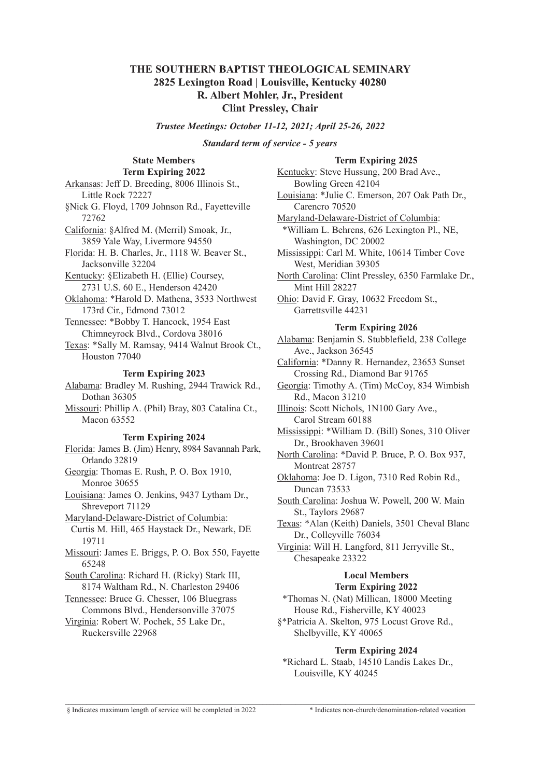## **THE SOUTHERN BAPTIST THEOLOGICAL SEMINARY 2825 Lexington Road | Louisville, Kentucky 40280 R. Albert Mohler, Jr., President Clint Pressley, Chair**

*Trustee Meetings: October 11-12, 2021; April 25-26, 2022*

*Standard term of service - 5 years*

### **State Members Term Expiring 2022**

Arkansas: Jeff D. Breeding, 8006 Illinois St., Little Rock 72227 §Nick G. Floyd, 1709 Johnson Rd., Fayetteville 72762 California: §Alfred M. (Merril) Smoak, Jr., 3859 Yale Way, Livermore 94550 Florida: H. B. Charles, Jr., 1118 W. Beaver St., Jacksonville 32204 Kentucky: §Elizabeth H. (Ellie) Coursey, 2731 U.S. 60 E., Henderson 42420 Oklahoma: \*Harold D. Mathena, 3533 Northwest 173rd Cir., Edmond 73012 Tennessee: \*Bobby T. Hancock, 1954 East Chimneyrock Blvd., Cordova 38016 Texas: \*Sally M. Ramsay, 9414 Walnut Brook Ct., Houston 77040 **Term Expiring 2023** Alabama: Bradley M. Rushing, 2944 Trawick Rd., Dothan 36305 Missouri: Phillip A. (Phil) Bray, 803 Catalina Ct., Macon 63552 **Term Expiring 2024** Florida: James B. (Jim) Henry, 8984 Savannah Park,

Orlando 32819 Georgia: Thomas E. Rush, P. O. Box 1910, Monroe 30655

Louisiana: James O. Jenkins, 9437 Lytham Dr., Shreveport 71129

Maryland-Delaware-District of Columbia:

Curtis M. Hill, 465 Haystack Dr., Newark, DE 19711

Missouri: James E. Briggs, P. O. Box 550, Fayette 65248

South Carolina: Richard H. (Ricky) Stark III, 8174 Waltham Rd., N. Charleston 29406

Tennessee: Bruce G. Chesser, 106 Bluegrass

Commons Blvd., Hendersonville 37075 Virginia: Robert W. Pochek, 55 Lake Dr.,

Ruckersville 22968

### **Term Expiring 2025**

Kentucky: Steve Hussung, 200 Brad Ave., Bowling Green 42104 Louisiana: \*Julie C. Emerson, 207 Oak Path Dr., Carencro 70520 Maryland-Delaware-District of Columbia:

\*William L. Behrens, 626 Lexington Pl., NE, Washington, DC 20002

Mississippi: Carl M. White, 10614 Timber Cove West, Meridian 39305

North Carolina: Clint Pressley, 6350 Farmlake Dr., Mint Hill 28227

Ohio: David F. Gray, 10632 Freedom St., Garrettsville 44231

### **Term Expiring 2026**

Alabama: Benjamin S. Stubblefield, 238 College Ave., Jackson 36545

California: \*Danny R. Hernandez, 23653 Sunset Crossing Rd., Diamond Bar 91765

Georgia: Timothy A. (Tim) McCoy, 834 Wimbish Rd., Macon 31210

Illinois: Scott Nichols, 1N100 Gary Ave., Carol Stream 60188

Mississippi: \*William D. (Bill) Sones, 310 Oliver Dr., Brookhaven 39601

North Carolina: \*David P. Bruce, P. O. Box 937, Montreat 28757

Oklahoma: Joe D. Ligon, 7310 Red Robin Rd., Duncan 73533

South Carolina: Joshua W. Powell, 200 W. Main St., Taylors 29687

Texas: \*Alan (Keith) Daniels, 3501 Cheval Blanc Dr., Colleyville 76034

Virginia: Will H. Langford, 811 Jerryville St., Chesapeake 23322

## **Local Members**

# **Term Expiring 2022**

\*Thomas N. (Nat) Millican, 18000 Meeting House Rd., Fisherville, KY 40023

§\*Patricia A. Skelton, 975 Locust Grove Rd., Shelbyville, KY 40065

### **Term Expiring 2024**

\*Richard L. Staab, 14510 Landis Lakes Dr., Louisville, KY 40245

\_\_\_\_\_\_\_\_\_\_\_\_\_\_\_\_\_\_\_\_\_\_\_\_\_\_\_\_\_\_\_\_\_\_\_\_\_\_\_\_\_\_\_\_\_\_\_\_\_\_\_\_\_\_\_\_\_\_\_\_\_\_\_\_\_\_\_\_\_\_\_\_\_\_\_\_\_\_\_\_\_\_\_\_\_\_\_\_\_\_\_\_\_\_\_\_\_\_\_\_\_\_\_\_\_\_\_\_\_\_\_\_\_\_

§ Indicates maximum length of service will be completed in 2022 \* Indicates non-church/denomination-related vocation